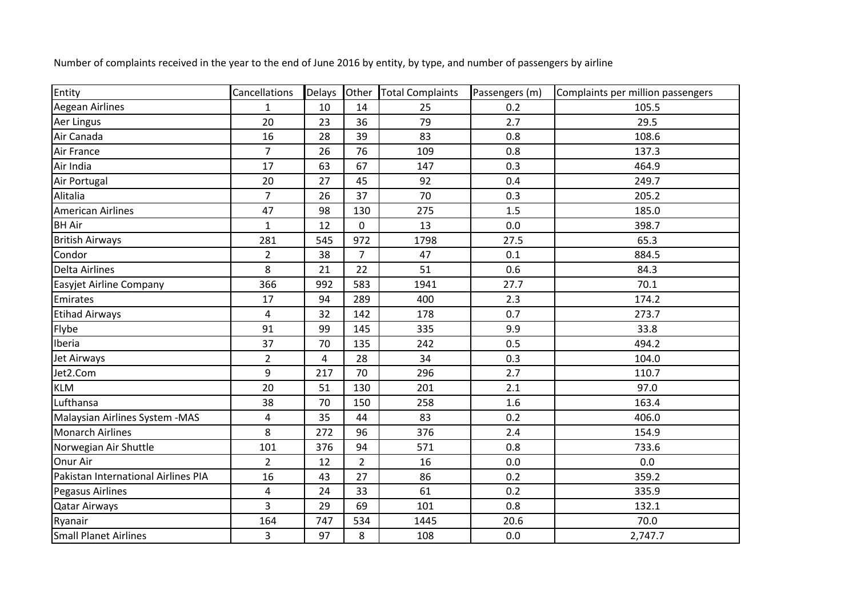| Entity                              | Cancellations  | Delays | Other          | <b>Total Complaints</b> | Passengers (m) | Complaints per million passengers |
|-------------------------------------|----------------|--------|----------------|-------------------------|----------------|-----------------------------------|
| <b>Aegean Airlines</b>              | $\mathbf{1}$   | 10     | 14             | 25                      | 0.2            | 105.5                             |
| <b>Aer Lingus</b>                   | 20             | 23     | 36             | 79                      | 2.7            | 29.5                              |
| Air Canada                          | 16             | 28     | 39             | 83                      | 0.8            | 108.6                             |
| Air France                          | $\overline{7}$ | 26     | 76             | 109                     | 0.8            | 137.3                             |
| Air India                           | 17             | 63     | 67             | 147                     | 0.3            | 464.9                             |
| Air Portugal                        | 20             | 27     | 45             | 92                      | 0.4            | 249.7                             |
| Alitalia                            | $\overline{7}$ | 26     | 37             | 70                      | 0.3            | 205.2                             |
| <b>American Airlines</b>            | 47             | 98     | 130            | 275                     | 1.5            | 185.0                             |
| <b>BH Air</b>                       | $\mathbf{1}$   | 12     | $\mathbf 0$    | 13                      | 0.0            | 398.7                             |
| <b>British Airways</b>              | 281            | 545    | 972            | 1798                    | 27.5           | 65.3                              |
| Condor                              | $\overline{2}$ | 38     | $\overline{7}$ | 47                      | 0.1            | 884.5                             |
| <b>Delta Airlines</b>               | 8              | 21     | 22             | 51                      | 0.6            | 84.3                              |
| Easyjet Airline Company             | 366            | 992    | 583            | 1941                    | 27.7           | 70.1                              |
| Emirates                            | 17             | 94     | 289            | 400                     | 2.3            | 174.2                             |
| <b>Etihad Airways</b>               | 4              | 32     | 142            | 178                     | 0.7            | 273.7                             |
| Flybe                               | 91             | 99     | 145            | 335                     | 9.9            | 33.8                              |
| Iberia                              | 37             | 70     | 135            | 242                     | 0.5            | 494.2                             |
| Jet Airways                         | $\overline{2}$ | 4      | 28             | 34                      | 0.3            | 104.0                             |
| Jet2.Com                            | 9              | 217    | 70             | 296                     | 2.7            | 110.7                             |
| <b>KLM</b>                          | 20             | 51     | 130            | 201                     | 2.1            | 97.0                              |
| Lufthansa                           | 38             | 70     | 150            | 258                     | 1.6            | 163.4                             |
| Malaysian Airlines System - MAS     | 4              | 35     | 44             | 83                      | 0.2            | 406.0                             |
| <b>Monarch Airlines</b>             | 8              | 272    | 96             | 376                     | 2.4            | 154.9                             |
| Norwegian Air Shuttle               | 101            | 376    | 94             | 571                     | 0.8            | 733.6                             |
| Onur Air                            | $\overline{2}$ | 12     | $\overline{2}$ | 16                      | 0.0            | 0.0                               |
| Pakistan International Airlines PIA | 16             | 43     | 27             | 86                      | 0.2            | 359.2                             |
| <b>Pegasus Airlines</b>             | 4              | 24     | 33             | 61                      | 0.2            | 335.9                             |
| <b>Qatar Airways</b>                | 3              | 29     | 69             | 101                     | 0.8            | 132.1                             |
| Ryanair                             | 164            | 747    | 534            | 1445                    | 20.6           | 70.0                              |
| <b>Small Planet Airlines</b>        | 3              | 97     | 8              | 108                     | 0.0            | 2,747.7                           |

Number of complaints received in the year to the end of June 2016 by entity, by type, and number of passengers by airline